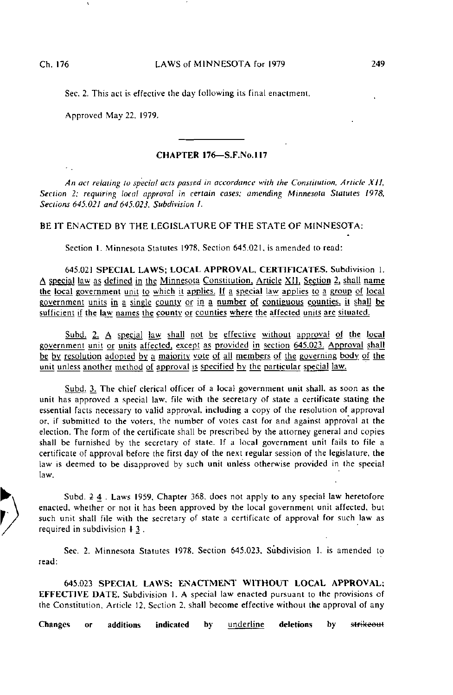Sec. 2. This act is effective the day following its final enactment.

Approved May 22. 1979.

## CHAPTER 176—S.F.No.117

An act relating to special acts passed in accordance with the Constitution, Article XII, Section 2; requiring local approval in certain cases: amending Minnesota Statutes 1978, Sections 645.021 and 645.023. Subdivision I.

## BE IT ENACTED BY THE LEGISLATURE OF THE STATE OF MINNESOTA:

Section I. Minnesota Statutes 1978, Section 645.021, is amended to read:

645.021 SPECIAL LAWS; LOCAL APPROVAL, CERTIFICATES. Subdivision 1. A special law as defined in the Minnesota Constitution, Article XII, Section 2, shall name the local government umt to which it applies. ]f a special law applies to a group of local government units in a single county or in a number of contiguous counties, it shall be sufficient if the law names the county or counties where the affected units are situated.

Subd. 2. A special law shall not be effective without approval of the local government unit or units affected, except as provided in section 645.023. Approval shall be by resolution adopted by a majority vote of all members of the governing body of the unit unless another method of approval is specified by the particular special law.

Subd. 3. The chief clerical officer of a local government unit shall, as soon as the unit has approved a special law, file with the secretary of state a certificate stating the essential facts necessary to valid approval, including a copy of the resolution of approval or, if submitted to the voters, the number of voles cast for and against approval at the election. The form of the certificate shall be prescribed by the attorney general and copies shall be furnished by the secretary of state. If a local government unit fails to file a certificate of approval before the first day of the next regular session of the legislature, the law is deemed to be disapproved by such unit unless otherwise provided in the special law.

Subd. 2 4 . Laws 1959, Chapter 368. does not apply to any special law heretofore enacted, whether or not it has been approved by the local government unit affected, but such unit shall file with the secretary of state a certificate of approval for such law as required in subdivision  $+3$ .

Sec. 2. Minnesota Statutes 1978. Section 645.023. Subdivision 1, is amended to read:

645.023 SPECIAL LAWS: ENACTMENT WITHOUT LOCAL APPROVAL; EFFECTIVE DATE. Subdivision 1. A special law enacted pursuant to the provisions of the Constitution, Article 12. Section 2, shall become effective without the approval of any

Changes or additions indicated by <u>underline</u> deletions by <del>strikeou</del>t